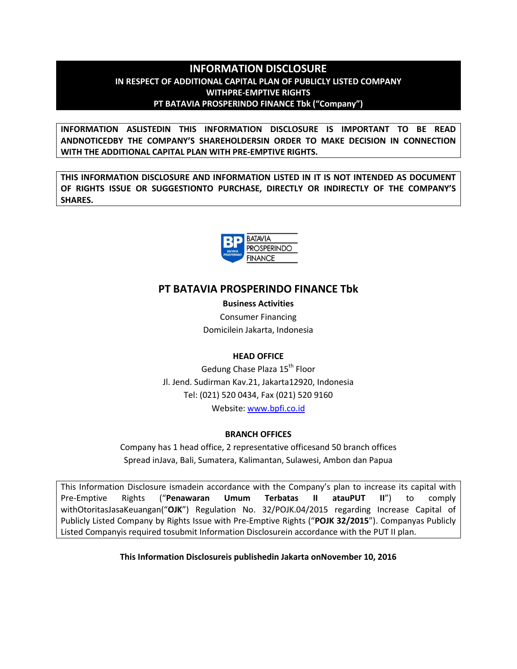# **INFORMATION DISCLOSURE IN RESPECT OF ADDITIONAL CAPITAL PLAN OF PUBLICLY LISTED COMPANY WITHPRE-EMPTIVE RIGHTS PT BATAVIA PROSPERINDO FINANCE Tbk ("Company")**

**INFORMATION ASLISTEDIN THIS INFORMATION DISCLOSURE IS IMPORTANT TO BE READ ANDNOTICEDBY THE COMPANY'S SHAREHOLDERSIN ORDER TO MAKE DECISION IN CONNECTION WITH THE ADDITIONAL CAPITAL PLAN WITH PRE-EMPTIVE RIGHTS.**

**THIS INFORMATION DISCLOSURE AND INFORMATION LISTED IN IT IS NOT INTENDED AS DOCUMENT OF RIGHTS ISSUE OR SUGGESTIONTO PURCHASE, DIRECTLY OR INDIRECTLY OF THE COMPANY'S SHARES.**



# **PT BATAVIA PROSPERINDO FINANCE Tbk**

**Business Activities** Consumer Financing Domicilein Jakarta, Indonesia

# **HEAD OFFICE**

Gedung Chase Plaza 15<sup>th</sup> Floor Jl. Jend. Sudirman Kav.21, Jakarta12920, Indonesia Tel: (021) 520 0434, Fax (021) 520 9160 Website: www.bpfi.co.id

# **BRANCH OFFICES**

Company has 1 head office, 2 representative officesand 50 branch offices Spread inJava, Bali, Sumatera, Kalimantan, Sulawesi, Ambon dan Papua

This Information Disclosure ismadein accordance with the Company's plan to increase its capital with Pre-Emptive Rights ("**Penawaran Umum Terbatas II atauPUT II**") to comply withOtoritasJasaKeuangan("**OJK**") Regulation No. 32/POJK.04/2015 regarding Increase Capital of Publicly Listed Company by Rights Issue with Pre-Emptive Rights ("**POJK 32/2015**"). Companyas Publicly Listed Companyis required tosubmit Information Disclosurein accordance with the PUT II plan.

**This Information Disclosureis publishedin Jakarta onNovember 10, 2016**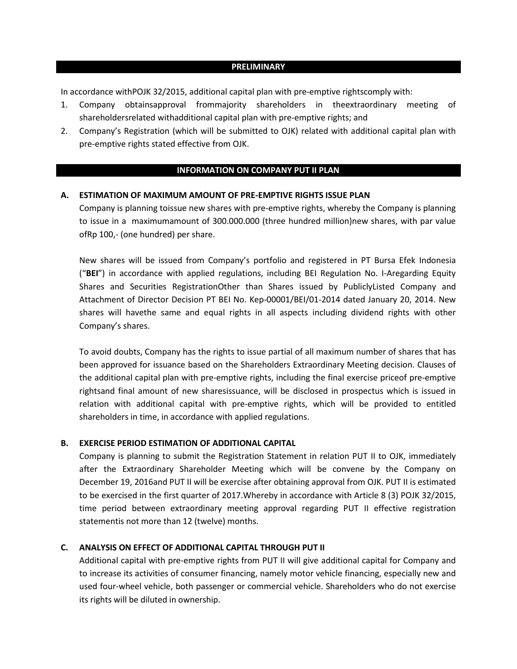#### **PRELIMINARY**

In accordance withPOJK 32/2015, additional capital plan with pre-emptive rightscomply with:

- 1. Company obtainsapproval frommajority shareholders in theextraordinary meeting of shareholdersrelated withadditional capital plan with pre-emptive rights; and
- 2. Company's Registration (which will be submitted to OJK) related with additional capital plan with pre-emptive rights stated effective from OJK.

#### **INFORMATION ON COMPANY PUT II PLAN**

# **A. ESTIMATION OF MAXIMUM AMOUNT OF PRE-EMPTIVE RIGHTS ISSUE PLAN**

Company is planning toissue new shares with pre-emptive rights, whereby the Company is planning to issue in a maximumamount of 300.000.000 (three hundred million)new shares, with par value ofRp 100,- (one hundred) per share.

New shares will be issued from Company's portfolio and registered in PT Bursa Efek Indonesia ("**BEI**") in accordance with applied regulations, including BEI Regulation No. I-Aregarding Equity Shares and Securities RegistrationOther than Shares issued by PubliclyListed Company and Attachment of Director Decision PT BEI No. Kep-00001/BEI/01-2014 dated January 20, 2014. New shares will havethe same and equal rights in all aspects including dividend rights with other Company's shares.

To avoid doubts, Company has the rights to issue partial of all maximum number of shares that has been approved for issuance based on the Shareholders Extraordinary Meeting decision. Clauses of the additional capital plan with pre-emptive rights, including the final exercise priceof pre-emptive rightsand final amount of new sharesissuance, will be disclosed in prospectus which is issued in relation with additional capital with pre-emptive rights, which will be provided to entitled shareholders in time, in accordance with applied regulations.

# **B. EXERCISE PERIOD ESTIMATION OF ADDITIONAL CAPITAL**

Company is planning to submit the Registration Statement in relation PUT II to OJK, immediately after the Extraordinary Shareholder Meeting which will be convene by the Company on December 19, 2016and PUT II will be exercise after obtaining approval from OJK. PUT II is estimated to be exercised in the first quarter of 2017.Whereby in accordance with Article 8 (3) POJK 32/2015, time period between extraordinary meeting approval regarding PUT II effective registration statementis not more than 12 (twelve) months.

# **C. ANALYSIS ON EFFECT OF ADDITIONAL CAPITAL THROUGH PUT II**

Additional capital with pre-emptive rights from PUT II will give additional capital for Company and to increase its activities of consumer financing, namely motor vehicle financing, especially new and used four-wheel vehicle, both passenger or commercial vehicle. Shareholders who do not exercise its rights will be diluted in ownership.